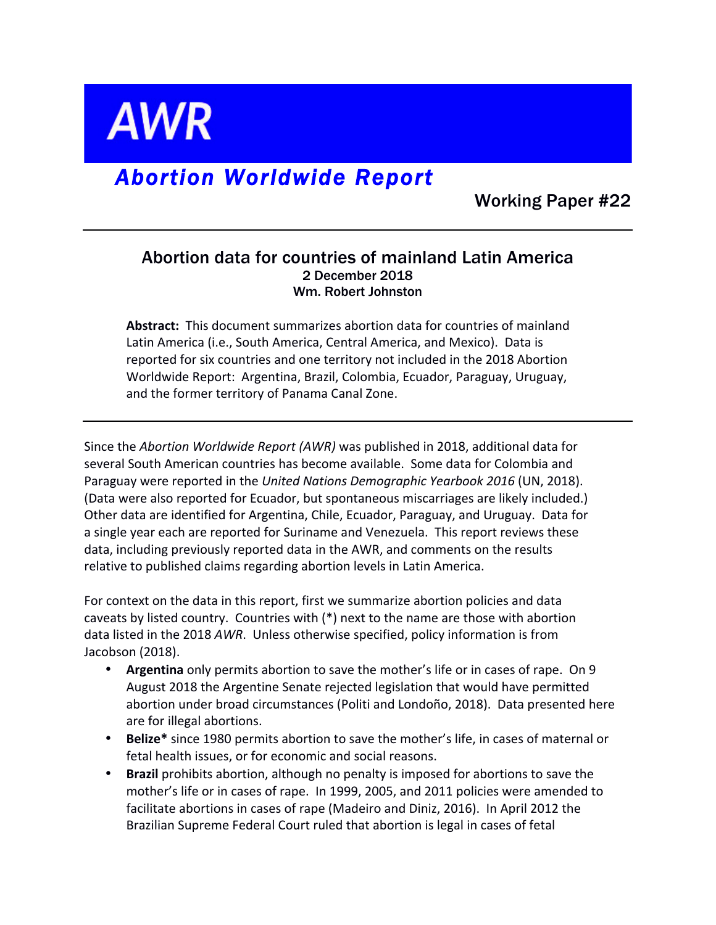

# *Abortion Worldwide Report*

Working Paper #22

# Abortion data for countries of mainland Latin America 2 December 2018 Wm. Robert Johnston

**Abstract:** This document summarizes abortion data for countries of mainland Latin America (i.e., South America, Central America, and Mexico). Data is reported for six countries and one territory not included in the 2018 Abortion Worldwide Report: Argentina, Brazil, Colombia, Ecuador, Paraguay, Uruguay, and the former territory of Panama Canal Zone.

Since the *Abortion Worldwide Report (AWR)* was published in 2018, additional data for several South American countries has become available. Some data for Colombia and Paraguay were reported in the *United Nations Demographic Yearbook 2016* (UN, 2018). (Data were also reported for Ecuador, but spontaneous miscarriages are likely included.) Other data are identified for Argentina, Chile, Ecuador, Paraguay, and Uruguay. Data for a single year each are reported for Suriname and Venezuela. This report reviews these data, including previously reported data in the AWR, and comments on the results relative to published claims regarding abortion levels in Latin America.

For context on the data in this report, first we summarize abortion policies and data caveats by listed country. Countries with  $(*)$  next to the name are those with abortion data listed in the 2018 AWR. Unless otherwise specified, policy information is from Jacobson (2018).

- **Argentina** only permits abortion to save the mother's life or in cases of rape. On 9 August 2018 the Argentine Senate rejected legislation that would have permitted abortion under broad circumstances (Politi and Londoño, 2018). Data presented here are for illegal abortions.
- **Belize\*** since 1980 permits abortion to save the mother's life, in cases of maternal or fetal health issues, or for economic and social reasons.
- **Brazil** prohibits abortion, although no penalty is imposed for abortions to save the mother's life or in cases of rape. In 1999, 2005, and 2011 policies were amended to facilitate abortions in cases of rape (Madeiro and Diniz, 2016). In April 2012 the Brazilian Supreme Federal Court ruled that abortion is legal in cases of fetal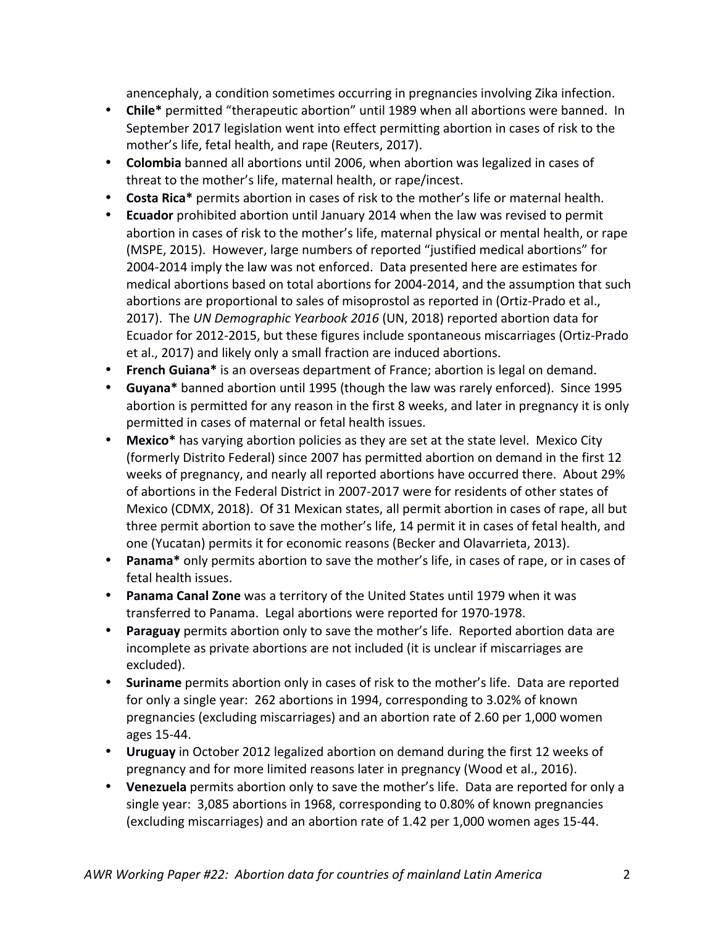anencephaly, a condition sometimes occurring in pregnancies involving Zika infection.

- Chile<sup>\*</sup> permitted "therapeutic abortion" until 1989 when all abortions were banned. In September 2017 legislation went into effect permitting abortion in cases of risk to the mother's life, fetal health, and rape (Reuters, 2017).
- **Colombia** banned all abortions until 2006, when abortion was legalized in cases of threat to the mother's life, maternal health, or rape/incest.
- **Costa Rica**\* permits abortion in cases of risk to the mother's life or maternal health.
- **Ecuador** prohibited abortion until January 2014 when the law was revised to permit abortion in cases of risk to the mother's life, maternal physical or mental health, or rape (MSPE, 2015). However, large numbers of reported "justified medical abortions" for 2004-2014 imply the law was not enforced. Data presented here are estimates for medical abortions based on total abortions for 2004-2014, and the assumption that such abortions are proportional to sales of misoprostol as reported in (Ortiz-Prado et al., 2017). The UN Demographic Yearbook 2016 (UN, 2018) reported abortion data for Ecuador for 2012-2015, but these figures include spontaneous miscarriages (Ortiz-Prado et al., 2017) and likely only a small fraction are induced abortions.
- **French Guiana**\* is an overseas department of France; abortion is legal on demand.
- Guyana<sup>\*</sup> banned abortion until 1995 (though the law was rarely enforced). Since 1995 abortion is permitted for any reason in the first 8 weeks, and later in pregnancy it is only permitted in cases of maternal or fetal health issues.
- Mexico<sup>\*</sup> has varying abortion policies as they are set at the state level. Mexico City (formerly Distrito Federal) since 2007 has permitted abortion on demand in the first 12 weeks of pregnancy, and nearly all reported abortions have occurred there. About 29% of abortions in the Federal District in 2007-2017 were for residents of other states of Mexico (CDMX, 2018). Of 31 Mexican states, all permit abortion in cases of rape, all but three permit abortion to save the mother's life, 14 permit it in cases of fetal health, and one (Yucatan) permits it for economic reasons (Becker and Olavarrieta, 2013).
- **Panama**<sup>\*</sup> only permits abortion to save the mother's life, in cases of rape, or in cases of fetal health issues.
- **Panama Canal Zone** was a territory of the United States until 1979 when it was transferred to Panama. Legal abortions were reported for 1970-1978.
- **Paraguay** permits abortion only to save the mother's life. Reported abortion data are incomplete as private abortions are not included (it is unclear if miscarriages are excluded).
- **Suriname** permits abortion only in cases of risk to the mother's life. Data are reported for only a single year: 262 abortions in 1994, corresponding to 3.02% of known pregnancies (excluding miscarriages) and an abortion rate of 2.60 per 1,000 women ages 15-44.
- Uruguay in October 2012 legalized abortion on demand during the first 12 weeks of pregnancy and for more limited reasons later in pregnancy (Wood et al., 2016).
- Venezuela permits abortion only to save the mother's life. Data are reported for only a single year:  $3,085$  abortions in 1968, corresponding to 0.80% of known pregnancies (excluding miscarriages) and an abortion rate of 1.42 per 1,000 women ages 15-44.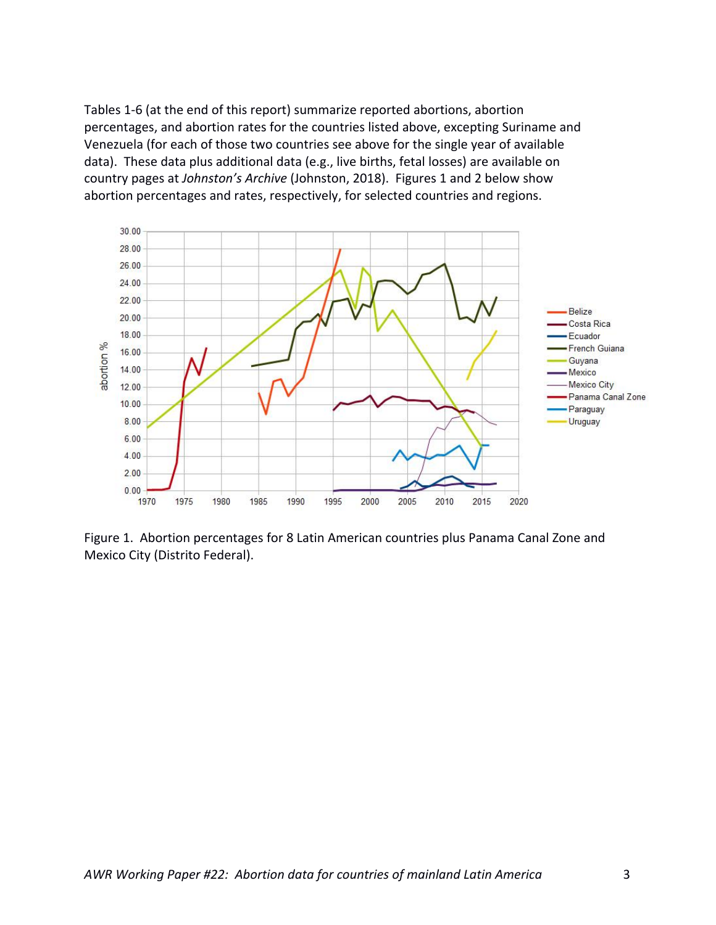Tables 1-6 (at the end of this report) summarize reported abortions, abortion percentages, and abortion rates for the countries listed above, excepting Suriname and Venezuela (for each of those two countries see above for the single year of available data). These data plus additional data (e.g., live births, fetal losses) are available on country pages at *Johnston's Archive* (Johnston, 2018). Figures 1 and 2 below show abortion percentages and rates, respectively, for selected countries and regions.



Figure 1. Abortion percentages for 8 Latin American countries plus Panama Canal Zone and Mexico City (Distrito Federal).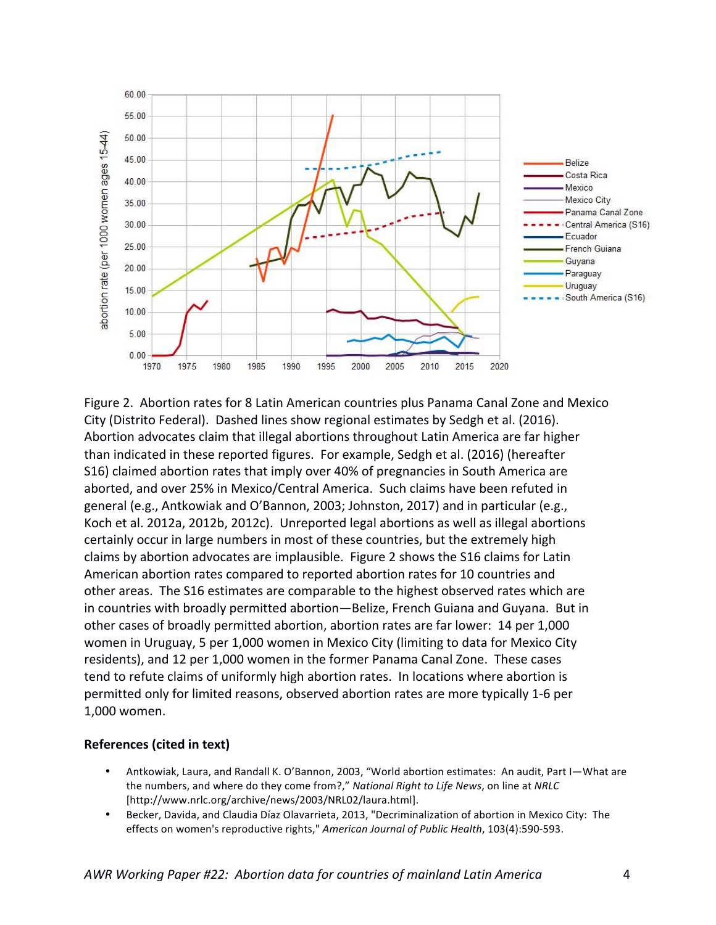

Figure 2. Abortion rates for 8 Latin American countries plus Panama Canal Zone and Mexico City (Distrito Federal). Dashed lines show regional estimates by Sedgh et al. (2016). Abortion advocates claim that illegal abortions throughout Latin America are far higher than indicated in these reported figures. For example, Sedgh et al. (2016) (hereafter S16) claimed abortion rates that imply over 40% of pregnancies in South America are aborted, and over 25% in Mexico/Central America. Such claims have been refuted in general (e.g., Antkowiak and O'Bannon, 2003; Johnston, 2017) and in particular (e.g., Koch et al. 2012a, 2012b, 2012c). Unreported legal abortions as well as illegal abortions certainly occur in large numbers in most of these countries, but the extremely high claims by abortion advocates are implausible. Figure 2 shows the S16 claims for Latin American abortion rates compared to reported abortion rates for 10 countries and other areas. The S16 estimates are comparable to the highest observed rates which are in countries with broadly permitted abortion—Belize, French Guiana and Guyana. But in other cases of broadly permitted abortion, abortion rates are far lower: 14 per 1,000 women in Uruguay, 5 per 1,000 women in Mexico City (limiting to data for Mexico City residents), and 12 per 1,000 women in the former Panama Canal Zone. These cases tend to refute claims of uniformly high abortion rates. In locations where abortion is permitted only for limited reasons, observed abortion rates are more typically 1-6 per 1,000 women.

#### **References (cited in text)**

- Antkowiak, Laura, and Randall K. O'Bannon, 2003, "World abortion estimates: An audit, Part I-What are the numbers, and where do they come from?," *National Right to Life News*, on line at *NRLC* [http://www.nrlc.org/archive/news/2003/NRL02/laura.html].
- Becker, Davida, and Claudia Díaz Olavarrieta, 2013, "Decriminalization of abortion in Mexico City: The effects on women's reproductive rights," American Journal of Public Health, 103(4):590-593.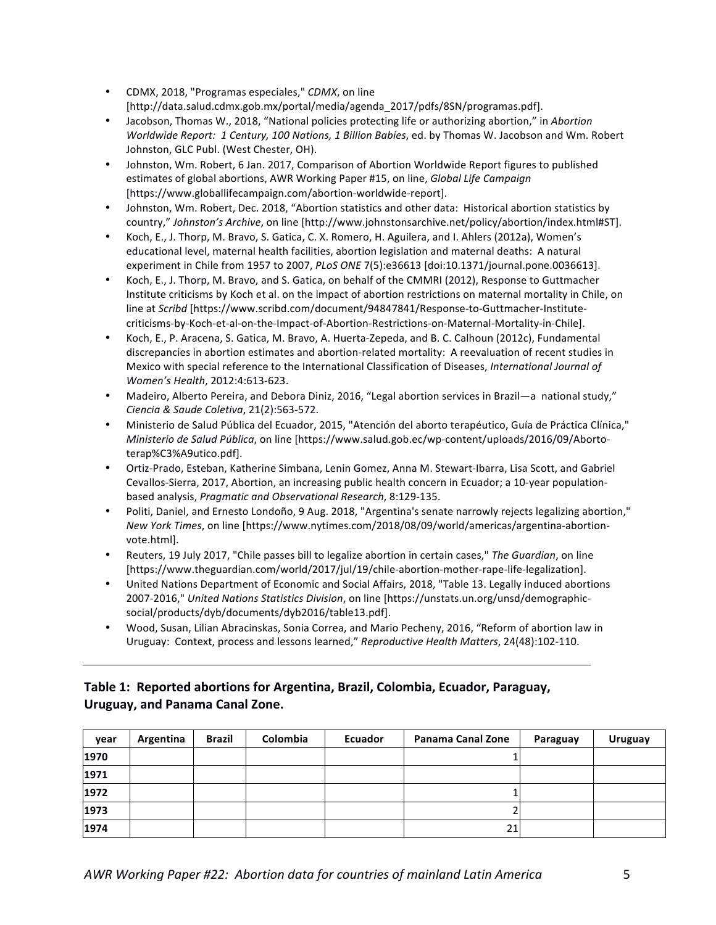- CDMX, 2018, "Programas especiales," *CDMX*, on line [http://data.salud.cdmx.gob.mx/portal/media/agenda\_2017/pdfs/8SN/programas.pdf].
- Jacobson, Thomas W., 2018, "National policies protecting life or authorizing abortion," in *Abortion Worldwide Report: 1 Century, 100 Nations, 1 Billion Babies, ed. by Thomas W. Jacobson and Wm. Robert* Johnston, GLC Publ. (West Chester, OH).
- Johnston, Wm. Robert, 6 Jan. 2017, Comparison of Abortion Worldwide Report figures to published estimates of global abortions, AWR Working Paper #15, on line, *Global Life Campaign* [https://www.globallifecampaign.com/abortion-worldwide-report].
- Johnston, Wm. Robert, Dec. 2018, "Abortion statistics and other data: Historical abortion statistics by country," Johnston's Archive, on line [http://www.johnstonsarchive.net/policy/abortion/index.html#ST].
- Koch, E., J. Thorp, M. Bravo, S. Gatica, C. X. Romero, H. Aguilera, and I. Ahlers (2012a), Women's educational level, maternal health facilities, abortion legislation and maternal deaths: A natural experiment in Chile from 1957 to 2007, *PLoS ONE* 7(5):e36613 [doi:10.1371/journal.pone.0036613].
- Koch, E., J. Thorp, M. Bravo, and S. Gatica, on behalf of the CMMRI (2012), Response to Guttmacher Institute criticisms by Koch et al. on the impact of abortion restrictions on maternal mortality in Chile, on line at *Scribd* [https://www.scribd.com/document/94847841/Response-to-Guttmacher-Institutecriticisms-by-Koch-et-al-on-the-Impact-of-Abortion-Restrictions-on-Maternal-Mortality-in-Chile].
- Koch, E., P. Aracena, S. Gatica, M. Bravo, A. Huerta-Zepeda, and B. C. Calhoun (2012c), Fundamental discrepancies in abortion estimates and abortion-related mortality: A reevaluation of recent studies in Mexico with special reference to the International Classification of Diseases, *International Journal of Women's Health*, 2012:4:613-623.
- Madeiro, Alberto Pereira, and Debora Diniz, 2016, "Legal abortion services in Brazil—a national study," *Ciencia & Saude Coletiva*, 21(2):563-572.
- Ministerio de Salud Pública del Ecuador, 2015, "Atención del aborto terapéutico, Guía de Práctica Clínica," *Ministerio de Salud Pública*, on line [https://www.salud.gob.ec/wp-content/uploads/2016/09/Abortoterap%C3%A9utico.pdf].
- Ortiz-Prado, Esteban, Katherine Simbana, Lenin Gomez, Anna M. Stewart-Ibarra, Lisa Scott, and Gabriel Cevallos-Sierra, 2017, Abortion, an increasing public health concern in Ecuador; a 10-year populationbased analysis, *Pragmatic and Observational Research*, 8:129-135.
- Politi, Daniel, and Ernesto Londoño, 9 Aug. 2018, "Argentina's senate narrowly rejects legalizing abortion," *New York Times*, on line [https://www.nytimes.com/2018/08/09/world/americas/argentina-abortionvote.html].
- Reuters, 19 July 2017, "Chile passes bill to legalize abortion in certain cases," The Guardian, on line [https://www.theguardian.com/world/2017/jul/19/chile-abortion-mother-rape-life-legalization].
- United Nations Department of Economic and Social Affairs, 2018, "Table 13. Legally induced abortions 2007-2016," United Nations Statistics Division, on line [https://unstats.un.org/unsd/demographicsocial/products/dyb/documents/dyb2016/table13.pdf].
- Wood, Susan, Lilian Abracinskas, Sonia Correa, and Mario Pecheny, 2016, "Reform of abortion law in Uruguay: Context, process and lessons learned," Reproductive Health Matters, 24(48):102-110.

### Table 1: Reported abortions for Argentina, Brazil, Colombia, Ecuador, Paraguay, **Uruguay, and Panama Canal Zone.**

| year | Argentina | <b>Brazil</b> | Colombia | Ecuador | Panama Canal Zone | Paraguay | <b>Uruguay</b> |
|------|-----------|---------------|----------|---------|-------------------|----------|----------------|
| 1970 |           |               |          |         |                   |          |                |
| 1971 |           |               |          |         |                   |          |                |
| 1972 |           |               |          |         |                   |          |                |
| 1973 |           |               |          |         |                   |          |                |
| 1974 |           |               |          |         | 21                |          |                |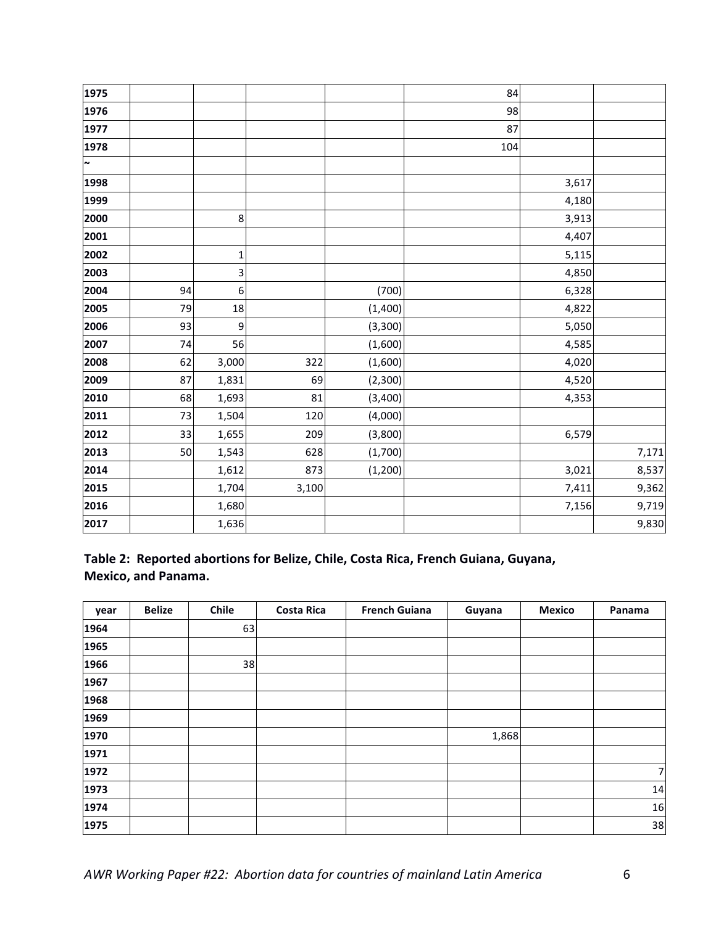| 1975   |    |              |       |          | 84  |       |       |
|--------|----|--------------|-------|----------|-----|-------|-------|
| 1976   |    |              |       |          | 98  |       |       |
| 1977   |    |              |       |          | 87  |       |       |
| 1978   |    |              |       |          | 104 |       |       |
| $\sim$ |    |              |       |          |     |       |       |
| 1998   |    |              |       |          |     | 3,617 |       |
| 1999   |    |              |       |          |     | 4,180 |       |
| 2000   |    | 8            |       |          |     | 3,913 |       |
| 2001   |    |              |       |          |     | 4,407 |       |
| 2002   |    | $\mathbf{1}$ |       |          |     | 5,115 |       |
| 2003   |    | 3            |       |          |     | 4,850 |       |
| 2004   | 94 | 6            |       | (700)    |     | 6,328 |       |
| 2005   | 79 | 18           |       | (1,400)  |     | 4,822 |       |
| 2006   | 93 | 9            |       | (3,300)  |     | 5,050 |       |
| 2007   | 74 | 56           |       | (1,600)  |     | 4,585 |       |
| 2008   | 62 | 3,000        | 322   | (1,600)  |     | 4,020 |       |
| 2009   | 87 | 1,831        | 69    | (2,300)  |     | 4,520 |       |
| 2010   | 68 | 1,693        | 81    | (3,400)  |     | 4,353 |       |
| 2011   | 73 | 1,504        | 120   | (4,000)  |     |       |       |
| 2012   | 33 | 1,655        | 209   | (3,800)  |     | 6,579 |       |
| 2013   | 50 | 1,543        | 628   | (1,700)  |     |       | 7,171 |
| 2014   |    | 1,612        | 873   | (1, 200) |     | 3,021 | 8,537 |
| 2015   |    | 1,704        | 3,100 |          |     | 7,411 | 9,362 |
| 2016   |    | 1,680        |       |          |     | 7,156 | 9,719 |
| 2017   |    | 1,636        |       |          |     |       | 9,830 |

## Table 2: Reported abortions for Belize, Chile, Costa Rica, French Guiana, Guyana, **Mexico, and Panama.**

| year | <b>Belize</b> | Chile | <b>Costa Rica</b> | <b>French Guiana</b> | Guyana | <b>Mexico</b> | Panama |
|------|---------------|-------|-------------------|----------------------|--------|---------------|--------|
| 1964 |               | 63    |                   |                      |        |               |        |
| 1965 |               |       |                   |                      |        |               |        |
| 1966 |               | 38    |                   |                      |        |               |        |
| 1967 |               |       |                   |                      |        |               |        |
| 1968 |               |       |                   |                      |        |               |        |
| 1969 |               |       |                   |                      |        |               |        |
| 1970 |               |       |                   |                      | 1,868  |               |        |
| 1971 |               |       |                   |                      |        |               |        |
| 1972 |               |       |                   |                      |        |               | 7      |
| 1973 |               |       |                   |                      |        |               | 14     |
| 1974 |               |       |                   |                      |        |               | 16     |
| 1975 |               |       |                   |                      |        |               | 38     |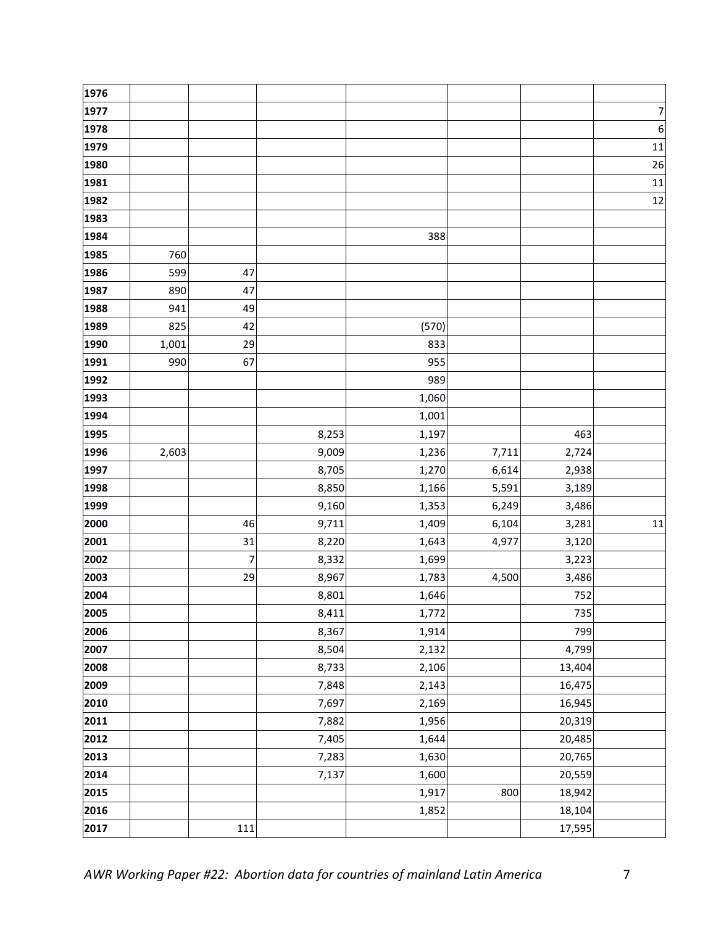| 1976 |       |     |       |       |       |        |                  |
|------|-------|-----|-------|-------|-------|--------|------------------|
| 1977 |       |     |       |       |       |        | 7                |
| 1978 |       |     |       |       |       |        | $\boldsymbol{6}$ |
| 1979 |       |     |       |       |       |        | 11               |
| 1980 |       |     |       |       |       |        | 26               |
| 1981 |       |     |       |       |       |        | 11               |
| 1982 |       |     |       |       |       |        | 12               |
| 1983 |       |     |       |       |       |        |                  |
| 1984 |       |     |       | 388   |       |        |                  |
| 1985 | 760   |     |       |       |       |        |                  |
| 1986 | 599   | 47  |       |       |       |        |                  |
| 1987 | 890   | 47  |       |       |       |        |                  |
| 1988 | 941   | 49  |       |       |       |        |                  |
| 1989 | 825   | 42  |       | (570) |       |        |                  |
| 1990 | 1,001 | 29  |       | 833   |       |        |                  |
| 1991 | 990   | 67  |       | 955   |       |        |                  |
| 1992 |       |     |       | 989   |       |        |                  |
| 1993 |       |     |       | 1,060 |       |        |                  |
| 1994 |       |     |       | 1,001 |       |        |                  |
| 1995 |       |     | 8,253 | 1,197 |       | 463    |                  |
| 1996 | 2,603 |     | 9,009 | 1,236 | 7,711 | 2,724  |                  |
| 1997 |       |     | 8,705 | 1,270 | 6,614 | 2,938  |                  |
| 1998 |       |     | 8,850 | 1,166 | 5,591 | 3,189  |                  |
| 1999 |       |     | 9,160 | 1,353 | 6,249 | 3,486  |                  |
| 2000 |       | 46  | 9,711 | 1,409 | 6,104 | 3,281  | 11               |
| 2001 |       | 31  | 8,220 | 1,643 | 4,977 | 3,120  |                  |
| 2002 |       | 7   | 8,332 | 1,699 |       | 3,223  |                  |
| 2003 |       | 29  | 8,967 | 1,783 | 4,500 | 3,486  |                  |
| 2004 |       |     | 8,801 | 1,646 |       | 752    |                  |
| 2005 |       |     | 8,411 | 1,772 |       | 735    |                  |
| 2006 |       |     | 8,367 | 1,914 |       | 799    |                  |
| 2007 |       |     | 8,504 | 2,132 |       | 4,799  |                  |
| 2008 |       |     | 8,733 | 2,106 |       | 13,404 |                  |
| 2009 |       |     | 7,848 | 2,143 |       | 16,475 |                  |
| 2010 |       |     | 7,697 | 2,169 |       | 16,945 |                  |
| 2011 |       |     | 7,882 | 1,956 |       | 20,319 |                  |
| 2012 |       |     | 7,405 | 1,644 |       | 20,485 |                  |
| 2013 |       |     | 7,283 | 1,630 |       | 20,765 |                  |
| 2014 |       |     | 7,137 | 1,600 |       | 20,559 |                  |
| 2015 |       |     |       | 1,917 | 800   | 18,942 |                  |
| 2016 |       |     |       | 1,852 |       | 18,104 |                  |
| 2017 |       | 111 |       |       |       | 17,595 |                  |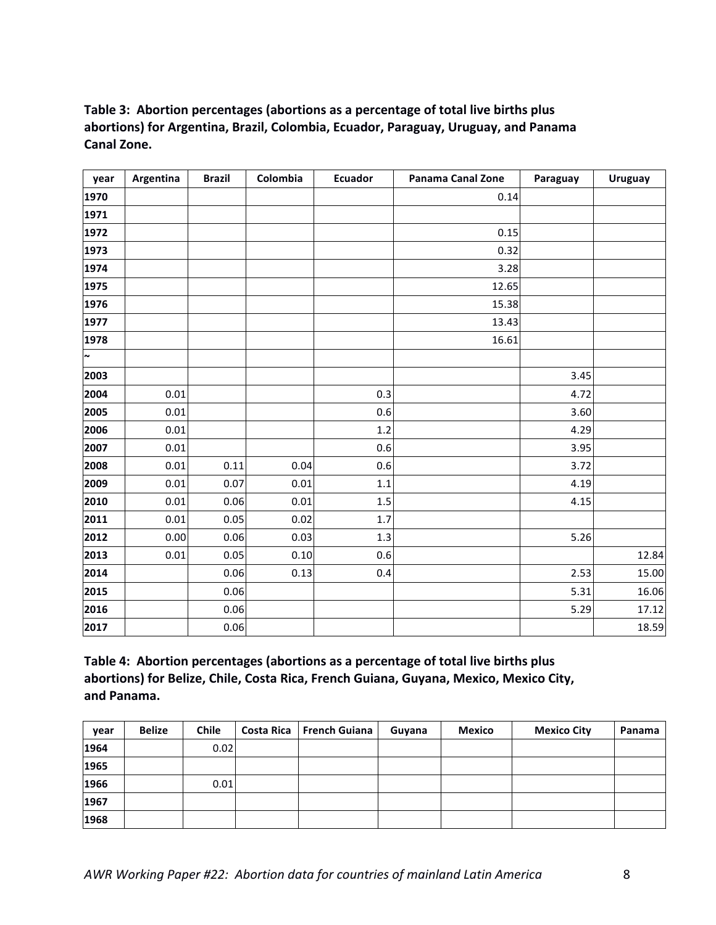## Table 3: Abortion percentages (abortions as a percentage of total live births plus abortions) for Argentina, Brazil, Colombia, Ecuador, Paraguay, Uruguay, and Panama **Canal Zone.**

| year   | Argentina | <b>Brazil</b> | Colombia | <b>Ecuador</b> | <b>Panama Canal Zone</b> | Paraguay | <b>Uruguay</b> |
|--------|-----------|---------------|----------|----------------|--------------------------|----------|----------------|
| 1970   |           |               |          |                | 0.14                     |          |                |
| 1971   |           |               |          |                |                          |          |                |
| 1972   |           |               |          |                | 0.15                     |          |                |
| 1973   |           |               |          |                | 0.32                     |          |                |
| 1974   |           |               |          |                | 3.28                     |          |                |
| 1975   |           |               |          |                | 12.65                    |          |                |
| 1976   |           |               |          |                | 15.38                    |          |                |
| 1977   |           |               |          |                | 13.43                    |          |                |
| 1978   |           |               |          |                | 16.61                    |          |                |
| $\sim$ |           |               |          |                |                          |          |                |
| 2003   |           |               |          |                |                          | 3.45     |                |
| 2004   | 0.01      |               |          | 0.3            |                          | 4.72     |                |
| 2005   | 0.01      |               |          | 0.6            |                          | 3.60     |                |
| 2006   | 0.01      |               |          | 1.2            |                          | 4.29     |                |
| 2007   | 0.01      |               |          | 0.6            |                          | 3.95     |                |
| 2008   | 0.01      | 0.11          | 0.04     | 0.6            |                          | 3.72     |                |
| 2009   | 0.01      | 0.07          | 0.01     | 1.1            |                          | 4.19     |                |
| 2010   | 0.01      | 0.06          | 0.01     | 1.5            |                          | 4.15     |                |
| 2011   | 0.01      | 0.05          | 0.02     | 1.7            |                          |          |                |
| 2012   | 0.00      | 0.06          | 0.03     | 1.3            |                          | 5.26     |                |
| 2013   | 0.01      | 0.05          | 0.10     | 0.6            |                          |          | 12.84          |
| 2014   |           | 0.06          | 0.13     | 0.4            |                          | 2.53     | 15.00          |
| 2015   |           | 0.06          |          |                |                          | 5.31     | 16.06          |
| 2016   |           | 0.06          |          |                |                          | 5.29     | 17.12          |
| 2017   |           | 0.06          |          |                |                          |          | 18.59          |

Table 4: Abortion percentages (abortions as a percentage of total live births plus abortions) for Belize, Chile, Costa Rica, French Guiana, Guyana, Mexico, Mexico City, **and Panama.**

| vear | <b>Belize</b> | <b>Chile</b> | Costa Rica   French Guiana | Guyana | Mexico | <b>Mexico City</b> | Panama |
|------|---------------|--------------|----------------------------|--------|--------|--------------------|--------|
| 1964 |               | 0.02         |                            |        |        |                    |        |
| 1965 |               |              |                            |        |        |                    |        |
| 1966 |               | 0.01         |                            |        |        |                    |        |
| 1967 |               |              |                            |        |        |                    |        |
| 1968 |               |              |                            |        |        |                    |        |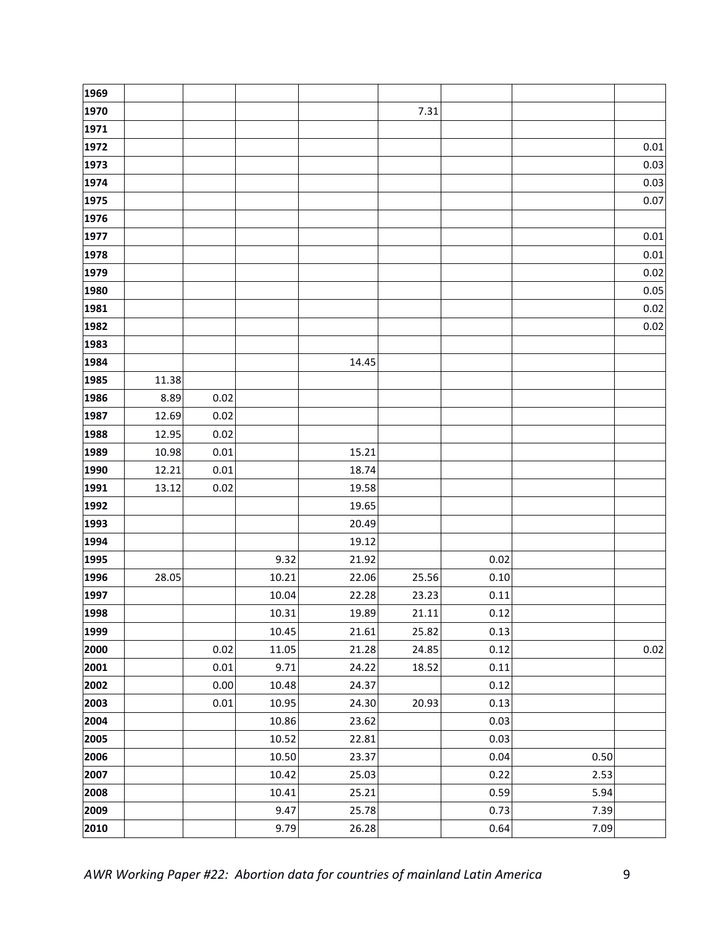| 1969 |       |      |       |       |       |      |      |      |
|------|-------|------|-------|-------|-------|------|------|------|
| 1970 |       |      |       |       | 7.31  |      |      |      |
| 1971 |       |      |       |       |       |      |      |      |
| 1972 |       |      |       |       |       |      |      | 0.01 |
| 1973 |       |      |       |       |       |      |      | 0.03 |
| 1974 |       |      |       |       |       |      |      | 0.03 |
| 1975 |       |      |       |       |       |      |      | 0.07 |
| 1976 |       |      |       |       |       |      |      |      |
| 1977 |       |      |       |       |       |      |      | 0.01 |
| 1978 |       |      |       |       |       |      |      | 0.01 |
| 1979 |       |      |       |       |       |      |      | 0.02 |
| 1980 |       |      |       |       |       |      |      | 0.05 |
| 1981 |       |      |       |       |       |      |      | 0.02 |
| 1982 |       |      |       |       |       |      |      | 0.02 |
| 1983 |       |      |       |       |       |      |      |      |
| 1984 |       |      |       | 14.45 |       |      |      |      |
| 1985 | 11.38 |      |       |       |       |      |      |      |
| 1986 | 8.89  | 0.02 |       |       |       |      |      |      |
| 1987 | 12.69 | 0.02 |       |       |       |      |      |      |
| 1988 | 12.95 | 0.02 |       |       |       |      |      |      |
| 1989 | 10.98 | 0.01 |       | 15.21 |       |      |      |      |
| 1990 | 12.21 | 0.01 |       | 18.74 |       |      |      |      |
| 1991 | 13.12 | 0.02 |       | 19.58 |       |      |      |      |
| 1992 |       |      |       | 19.65 |       |      |      |      |
| 1993 |       |      |       | 20.49 |       |      |      |      |
| 1994 |       |      |       | 19.12 |       |      |      |      |
| 1995 |       |      | 9.32  | 21.92 |       | 0.02 |      |      |
| 1996 | 28.05 |      | 10.21 | 22.06 | 25.56 | 0.10 |      |      |
| 1997 |       |      | 10.04 | 22.28 | 23.23 | 0.11 |      |      |
| 1998 |       |      | 10.31 | 19.89 | 21.11 | 0.12 |      |      |
| 1999 |       |      | 10.45 | 21.61 | 25.82 | 0.13 |      |      |
| 2000 |       | 0.02 | 11.05 | 21.28 | 24.85 | 0.12 |      | 0.02 |
| 2001 |       | 0.01 | 9.71  | 24.22 | 18.52 | 0.11 |      |      |
| 2002 |       | 0.00 | 10.48 | 24.37 |       | 0.12 |      |      |
| 2003 |       | 0.01 | 10.95 | 24.30 | 20.93 | 0.13 |      |      |
| 2004 |       |      | 10.86 | 23.62 |       | 0.03 |      |      |
| 2005 |       |      | 10.52 | 22.81 |       | 0.03 |      |      |
| 2006 |       |      | 10.50 | 23.37 |       | 0.04 | 0.50 |      |
| 2007 |       |      | 10.42 | 25.03 |       | 0.22 | 2.53 |      |
| 2008 |       |      | 10.41 | 25.21 |       | 0.59 | 5.94 |      |
| 2009 |       |      | 9.47  | 25.78 |       | 0.73 | 7.39 |      |
| 2010 |       |      | 9.79  | 26.28 |       | 0.64 | 7.09 |      |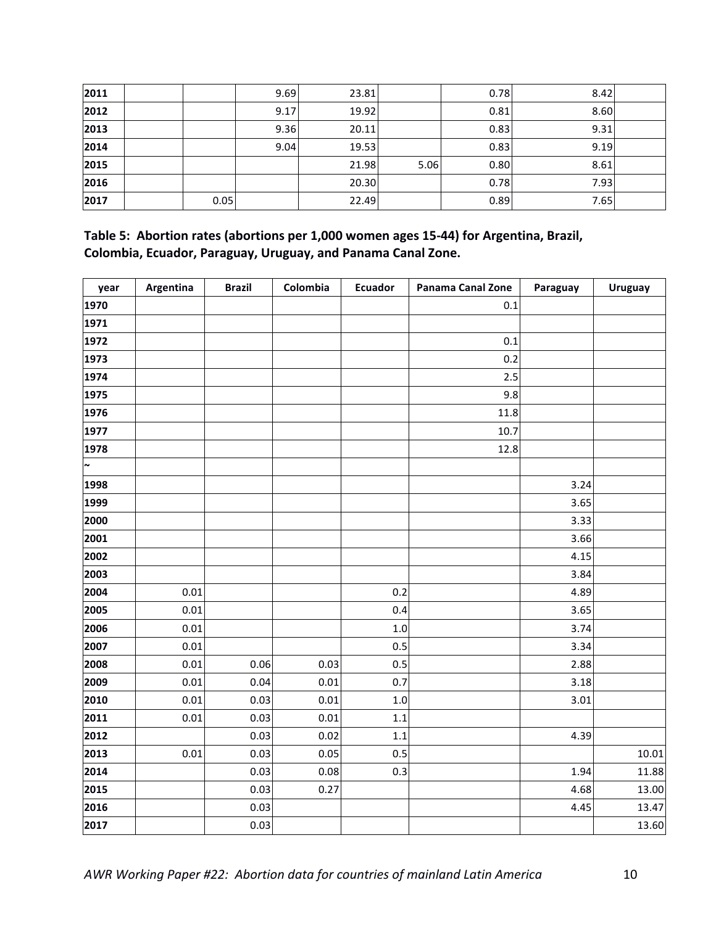| 2011 |      | 9.69 | 23.81 |      | 0.78 | 8.42 |  |
|------|------|------|-------|------|------|------|--|
| 2012 |      | 9.17 | 19.92 |      | 0.81 | 8.60 |  |
| 2013 |      | 9.36 | 20.11 |      | 0.83 | 9.31 |  |
| 2014 |      | 9.04 | 19.53 |      | 0.83 | 9.19 |  |
| 2015 |      |      | 21.98 | 5.06 | 0.80 | 8.61 |  |
| 2016 |      |      | 20.30 |      | 0.78 | 7.93 |  |
| 2017 | 0.05 |      | 22.49 |      | 0.89 | 7.65 |  |

Table 5: Abortion rates (abortions per 1,000 women ages 15-44) for Argentina, Brazil, Colombia, Ecuador, Paraguay, Uruguay, and Panama Canal Zone.

| year                  | Argentina | <b>Brazil</b> | Colombia | <b>Ecuador</b> | <b>Panama Canal Zone</b> | Paraguay | <b>Uruguay</b> |
|-----------------------|-----------|---------------|----------|----------------|--------------------------|----------|----------------|
| 1970                  |           |               |          |                | 0.1                      |          |                |
| 1971                  |           |               |          |                |                          |          |                |
| 1972                  |           |               |          |                | 0.1                      |          |                |
| 1973                  |           |               |          |                | 0.2                      |          |                |
| 1974                  |           |               |          |                | 2.5                      |          |                |
| 1975                  |           |               |          |                | 9.8                      |          |                |
| 1976                  |           |               |          |                | 11.8                     |          |                |
| 1977                  |           |               |          |                | 10.7                     |          |                |
| 1978                  |           |               |          |                | 12.8                     |          |                |
| $\tilde{\phantom{a}}$ |           |               |          |                |                          |          |                |
| 1998                  |           |               |          |                |                          | 3.24     |                |
| 1999                  |           |               |          |                |                          | 3.65     |                |
| 2000                  |           |               |          |                |                          | 3.33     |                |
| 2001                  |           |               |          |                |                          | 3.66     |                |
| 2002                  |           |               |          |                |                          | 4.15     |                |
| 2003                  |           |               |          |                |                          | 3.84     |                |
| 2004                  | $0.01\,$  |               |          | 0.2            |                          | 4.89     |                |
| 2005                  | 0.01      |               |          | 0.4            |                          | 3.65     |                |
| 2006                  | $0.01\,$  |               |          | 1.0            |                          | 3.74     |                |
| 2007                  | 0.01      |               |          | 0.5            |                          | 3.34     |                |
| 2008                  | 0.01      | 0.06          | 0.03     | 0.5            |                          | 2.88     |                |
| 2009                  | 0.01      | 0.04          | 0.01     | 0.7            |                          | 3.18     |                |
| 2010                  | $0.01\,$  | 0.03          | 0.01     | $1.0\,$        |                          | 3.01     |                |
| 2011                  | $0.01\,$  | 0.03          | $0.01\,$ | $1.1\,$        |                          |          |                |
| 2012                  |           | 0.03          | 0.02     | 1.1            |                          | 4.39     |                |
| 2013                  | 0.01      | 0.03          | 0.05     | 0.5            |                          |          | 10.01          |
| 2014                  |           | 0.03          | 0.08     | 0.3            |                          | 1.94     | 11.88          |
| 2015                  |           | 0.03          | 0.27     |                |                          | 4.68     | 13.00          |
| 2016                  |           | 0.03          |          |                |                          | 4.45     | 13.47          |
| 2017                  |           | 0.03          |          |                |                          |          | 13.60          |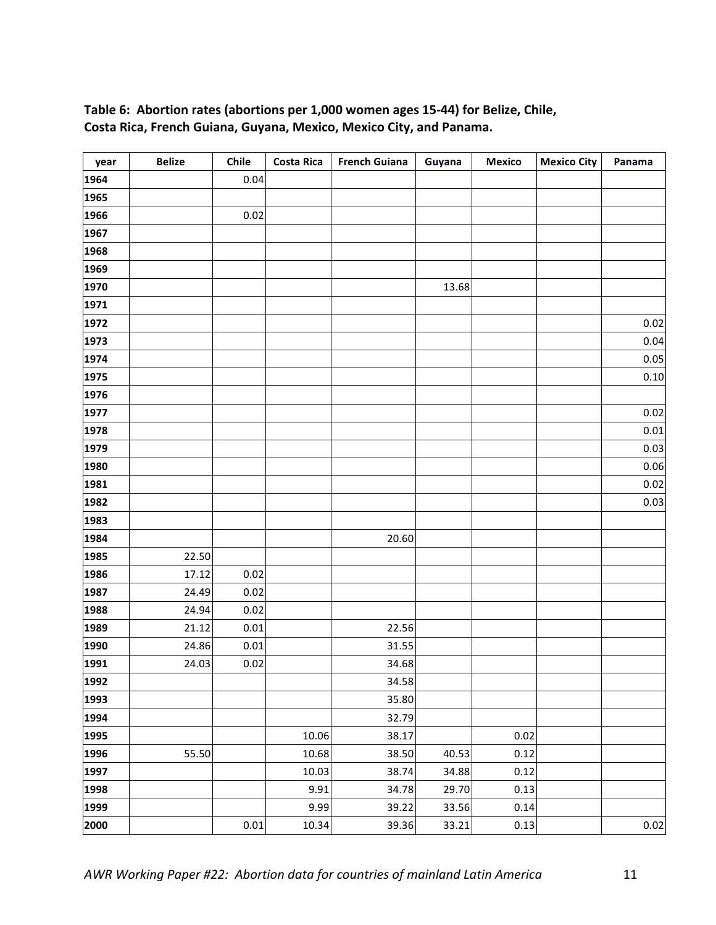### Table 6: Abortion rates (abortions per 1,000 women ages 15-44) for Belize, Chile, Costa Rica, French Guiana, Guyana, Mexico, Mexico City, and Panama.

| year | <b>Belize</b> | Chile | <b>Costa Rica</b> | <b>French Guiana</b> | Guyana | <b>Mexico</b> | <b>Mexico City</b> | Panama   |
|------|---------------|-------|-------------------|----------------------|--------|---------------|--------------------|----------|
| 1964 |               | 0.04  |                   |                      |        |               |                    |          |
| 1965 |               |       |                   |                      |        |               |                    |          |
| 1966 |               | 0.02  |                   |                      |        |               |                    |          |
| 1967 |               |       |                   |                      |        |               |                    |          |
| 1968 |               |       |                   |                      |        |               |                    |          |
| 1969 |               |       |                   |                      |        |               |                    |          |
| 1970 |               |       |                   |                      | 13.68  |               |                    |          |
| 1971 |               |       |                   |                      |        |               |                    |          |
| 1972 |               |       |                   |                      |        |               |                    | 0.02     |
| 1973 |               |       |                   |                      |        |               |                    | 0.04     |
| 1974 |               |       |                   |                      |        |               |                    | 0.05     |
| 1975 |               |       |                   |                      |        |               |                    | 0.10     |
| 1976 |               |       |                   |                      |        |               |                    |          |
| 1977 |               |       |                   |                      |        |               |                    | 0.02     |
| 1978 |               |       |                   |                      |        |               |                    | $0.01\,$ |
| 1979 |               |       |                   |                      |        |               |                    | 0.03     |
| 1980 |               |       |                   |                      |        |               |                    | 0.06     |
| 1981 |               |       |                   |                      |        |               |                    | 0.02     |
| 1982 |               |       |                   |                      |        |               |                    | 0.03     |
| 1983 |               |       |                   |                      |        |               |                    |          |
| 1984 |               |       |                   | 20.60                |        |               |                    |          |
| 1985 | 22.50         |       |                   |                      |        |               |                    |          |
| 1986 | 17.12         | 0.02  |                   |                      |        |               |                    |          |
| 1987 | 24.49         | 0.02  |                   |                      |        |               |                    |          |
| 1988 | 24.94         | 0.02  |                   |                      |        |               |                    |          |
| 1989 | 21.12         | 0.01  |                   | 22.56                |        |               |                    |          |
| 1990 | 24.86         | 0.01  |                   | 31.55                |        |               |                    |          |
| 1991 | 24.03         | 0.02  |                   | 34.68                |        |               |                    |          |
| 1992 |               |       |                   | 34.58                |        |               |                    |          |
| 1993 |               |       |                   | 35.80                |        |               |                    |          |
| 1994 |               |       |                   | 32.79                |        |               |                    |          |
| 1995 |               |       | 10.06             | 38.17                |        | 0.02          |                    |          |
| 1996 | 55.50         |       | 10.68             | 38.50                | 40.53  | 0.12          |                    |          |
| 1997 |               |       | 10.03             | 38.74                | 34.88  | 0.12          |                    |          |
| 1998 |               |       | 9.91              | 34.78                | 29.70  | 0.13          |                    |          |
| 1999 |               |       | 9.99              | 39.22                | 33.56  | 0.14          |                    |          |
| 2000 |               | 0.01  | 10.34             | 39.36                | 33.21  | 0.13          |                    | 0.02     |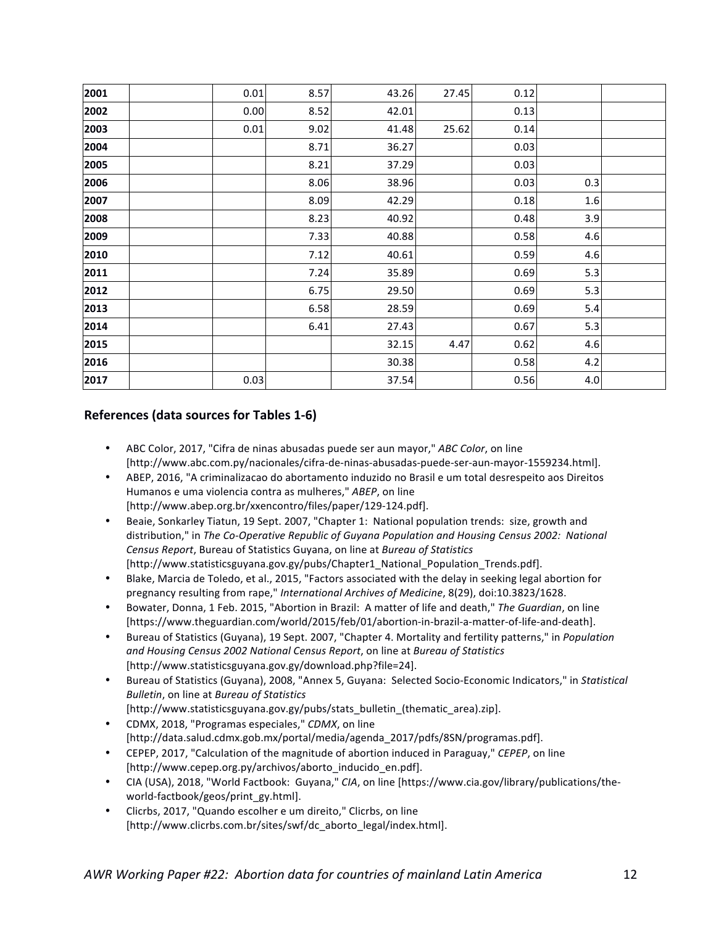| 2001 | 0.01 | 8.57 | 43.26 | 27.45 | 0.12 |     |  |
|------|------|------|-------|-------|------|-----|--|
| 2002 | 0.00 | 8.52 | 42.01 |       | 0.13 |     |  |
| 2003 | 0.01 | 9.02 | 41.48 | 25.62 | 0.14 |     |  |
| 2004 |      | 8.71 | 36.27 |       | 0.03 |     |  |
| 2005 |      | 8.21 | 37.29 |       | 0.03 |     |  |
| 2006 |      | 8.06 | 38.96 |       | 0.03 | 0.3 |  |
| 2007 |      | 8.09 | 42.29 |       | 0.18 | 1.6 |  |
| 2008 |      | 8.23 | 40.92 |       | 0.48 | 3.9 |  |
| 2009 |      | 7.33 | 40.88 |       | 0.58 | 4.6 |  |
| 2010 |      | 7.12 | 40.61 |       | 0.59 | 4.6 |  |
| 2011 |      | 7.24 | 35.89 |       | 0.69 | 5.3 |  |
| 2012 |      | 6.75 | 29.50 |       | 0.69 | 5.3 |  |
| 2013 |      | 6.58 | 28.59 |       | 0.69 | 5.4 |  |
| 2014 |      | 6.41 | 27.43 |       | 0.67 | 5.3 |  |
| 2015 |      |      | 32.15 | 4.47  | 0.62 | 4.6 |  |
| 2016 |      |      | 30.38 |       | 0.58 | 4.2 |  |
| 2017 | 0.03 |      | 37.54 |       | 0.56 | 4.0 |  |
|      |      |      |       |       |      |     |  |

#### **References (data sources for Tables 1-6)**

- ABC Color, 2017, "Cifra de ninas abusadas puede ser aun mayor," *ABC Color*, on line [http://www.abc.com.py/nacionales/cifra-de-ninas-abusadas-puede-ser-aun-mayor-1559234.html].
- ABEP, 2016, "A criminalizacao do abortamento induzido no Brasil e um total desrespeito aos Direitos Humanos e uma violencia contra as mulheres," ABEP, on line [http://www.abep.org.br/xxencontro/files/paper/129-124.pdf].
- Beaie, Sonkarley Tiatun, 19 Sept. 2007, "Chapter 1: National population trends: size, growth and distribution," in *The Co-Operative Republic of Guyana Population and Housing Census 2002: National Census Report*, Bureau of Statistics Guyana, on line at *Bureau of Statistics* [http://www.statisticsguyana.gov.gy/pubs/Chapter1\_National\_Population\_Trends.pdf].
- Blake, Marcia de Toledo, et al., 2015, "Factors associated with the delay in seeking legal abortion for pregnancy resulting from rape," International Archives of Medicine, 8(29), doi:10.3823/1628.
- Bowater, Donna, 1 Feb. 2015, "Abortion in Brazil: A matter of life and death." The Guardian, on line [https://www.theguardian.com/world/2015/feb/01/abortion-in-brazil-a-matter-of-life-and-death].
- Bureau of Statistics (Guyana), 19 Sept. 2007, "Chapter 4. Mortality and fertility patterns," in *Population and Housing Census 2002 National Census Report*, on line at *Bureau of Statistics* [http://www.statisticsguyana.gov.gy/download.php?file=24].
- Bureau of Statistics (Guyana), 2008, "Annex 5, Guyana: Selected Socio-Economic Indicators," in *Statistical Bulletin*, on line at *Bureau of Statistics*
- [http://www.statisticsguyana.gov.gy/pubs/stats\_bulletin\_(thematic\_area).zip]. • CDMX, 2018, "Programas especiales," *CDMX*, on line
- [http://data.salud.cdmx.gob.mx/portal/media/agenda\_2017/pdfs/8SN/programas.pdf].
- CEPEP, 2017, "Calculation of the magnitude of abortion induced in Paraguay," *CEPEP*, on line [http://www.cepep.org.py/archivos/aborto\_inducido\_en.pdf].
- CIA (USA), 2018, "World Factbook: Guyana," CIA, on line [https://www.cia.gov/library/publications/theworld-factbook/geos/print\_gy.html].
- Clicrbs, 2017, "Quando escolher e um direito," Clicrbs, on line [http://www.clicrbs.com.br/sites/swf/dc\_aborto\_legal/index.html].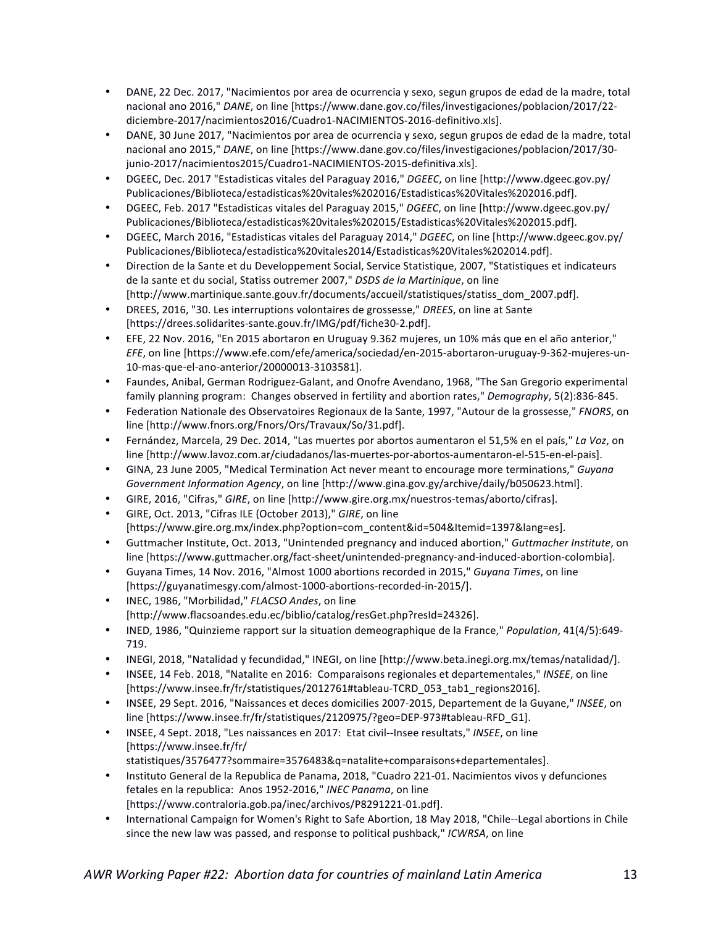- DANE, 22 Dec. 2017, "Nacimientos por area de ocurrencia y sexo, segun grupos de edad de la madre, total nacional ano 2016," *DANE*, on line [https://www.dane.gov.co/files/investigaciones/poblacion/2017/22diciembre-2017/nacimientos2016/Cuadro1-NACIMIENTOS-2016-definitivo.xls].
- DANE, 30 June 2017, "Nacimientos por area de ocurrencia y sexo, segun grupos de edad de la madre, total nacional ano 2015," *DANE*, on line [https://www.dane.gov.co/files/investigaciones/poblacion/2017/30junio-2017/nacimientos2015/Cuadro1-NACIMIENTOS-2015-definitiva.xls].
- DGEEC, Dec. 2017 "Estadisticas vitales del Paraguay 2016," DGEEC, on line [http://www.dgeec.gov.py/ Publicaciones/Biblioteca/estadisticas%20vitales%202016/Estadisticas%20Vitales%202016.pdf].
- DGEEC, Feb. 2017 "Estadisticas vitales del Paraguay 2015," DGEEC, on line [http://www.dgeec.gov.py/ Publicaciones/Biblioteca/estadisticas%20vitales%202015/Estadisticas%20Vitales%202015.pdf].
- DGEEC, March 2016, "Estadisticas vitales del Paraguay 2014," *DGEEC*, on line [http://www.dgeec.gov.py/ Publicaciones/Biblioteca/estadistica%20vitales2014/Estadisticas%20Vitales%202014.pdf].
- Direction de la Sante et du Developpement Social, Service Statistique, 2007, "Statistiques et indicateurs de la sante et du social, Statiss outremer 2007," *DSDS de la Martinique*, on line [http://www.martinique.sante.gouv.fr/documents/accueil/statistiques/statiss\_dom\_2007.pdf].
- DREES, 2016, "30. Les interruptions volontaires de grossesse," *DREES*, on line at Sante [https://drees.solidarites-sante.gouv.fr/IMG/pdf/fiche30-2.pdf].
- EFE, 22 Nov. 2016, "En 2015 abortaron en Uruguay 9.362 mujeres, un 10% más que en el año anterior," *EFE*, on line [https://www.efe.com/efe/america/sociedad/en-2015-abortaron-uruguay-9-362-mujeres-un-10-mas-que-el-ano-anterior/20000013-3103581].
- Faundes, Anibal, German Rodriguez-Galant, and Onofre Avendano, 1968, "The San Gregorio experimental family planning program: Changes observed in fertility and abortion rates," Demography, 5(2):836-845.
- Federation Nationale des Observatoires Regionaux de la Sante, 1997, "Autour de la grossesse," FNORS, on line [http://www.fnors.org/Fnors/Ors/Travaux/So/31.pdf].
- Fernández, Marcela, 29 Dec. 2014, "Las muertes por abortos aumentaron el 51,5% en el país," La Voz, on line [http://www.lavoz.com.ar/ciudadanos/las-muertes-por-abortos-aumentaron-el-515-en-el-pais].
- GINA, 23 June 2005, "Medical Termination Act never meant to encourage more terminations," *Guyang Government Information Agency*, on line [http://www.gina.gov.gy/archive/daily/b050623.html].
- GIRE, 2016, "Cifras," GIRE, on line [http://www.gire.org.mx/nuestros-temas/aborto/cifras].
- GIRE, Oct. 2013, "Cifras ILE (October 2013)," *GIRE*, on line [https://www.gire.org.mx/index.php?option=com\_content&id=504&Itemid=1397&lang=es].
- Guttmacher Institute, Oct. 2013, "Unintended pregnancy and induced abortion," Guttmacher Institute, on line [https://www.guttmacher.org/fact-sheet/unintended-pregnancy-and-induced-abortion-colombia].
- Guyana Times, 14 Nov. 2016, "Almost 1000 abortions recorded in 2015," *Guyana Times*, on line [https://guyanatimesgy.com/almost-1000-abortions-recorded-in-2015/].
- INEC, 1986, "Morbilidad," *FLACSO Andes*, on line [http://www.flacsoandes.edu.ec/biblio/catalog/resGet.php?resId=24326].
- INED, 1986, "Quinzieme rapport sur la situation demeographique de la France," *Population*, 41(4/5):649-719.
- INEGI, 2018, "Natalidad y fecundidad," INEGI, on line [http://www.beta.inegi.org.mx/temas/natalidad/].
- INSEE, 14 Feb. 2018, "Natalite en 2016: Comparaisons regionales et departementales," INSEE, on line [https://www.insee.fr/fr/statistiques/2012761#tableau-TCRD\_053\_tab1\_regions2016].
- INSEE, 29 Sept. 2016, "Naissances et deces domicilies 2007-2015, Departement de la Guyane," *INSEE*, on line [https://www.insee.fr/fr/statistiques/2120975/?geo=DEP-973#tableau-RFD\_G1].
- INSEE, 4 Sept. 2018, "Les naissances en 2017: Etat civil--Insee resultats," INSEE, on line [https://www.insee.fr/fr/ statistiques/3576477?sommaire=3576483&q=natalite+comparaisons+departementales].
- Instituto General de la Republica de Panama, 2018, "Cuadro 221-01. Nacimientos vivos y defunciones fetales en la republica: Anos 1952-2016," INEC Panama, on line [https://www.contraloria.gob.pa/inec/archivos/P8291221-01.pdf].
- International Campaign for Women's Right to Safe Abortion, 18 May 2018, "Chile--Legal abortions in Chile since the new law was passed, and response to political pushback," ICWRSA, on line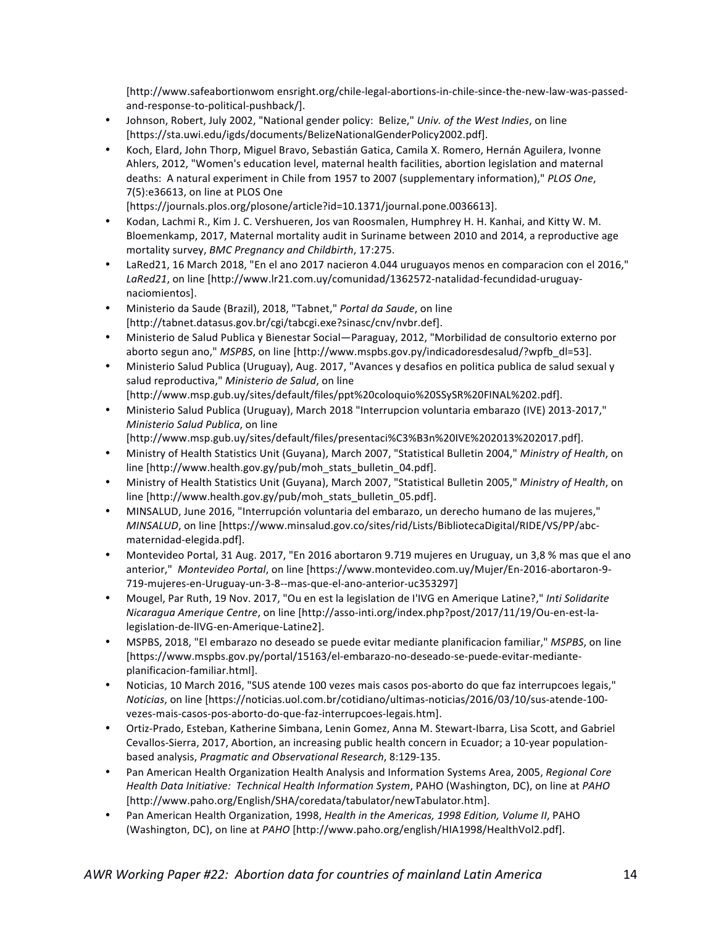[http://www.safeabortionwom ensright.org/chile-legal-abortions-in-chile-since-the-new-law-was-passedand-response-to-political-pushback/].

- Johnson, Robert, July 2002, "National gender policy: Belize," Univ. of the West Indies, on line [https://sta.uwi.edu/igds/documents/BelizeNationalGenderPolicy2002.pdf].
- Koch, Elard, John Thorp, Miguel Bravo, Sebastián Gatica, Camila X. Romero, Hernán Aguilera, Ivonne Ahlers, 2012, "Women's education level, maternal health facilities, abortion legislation and maternal deaths: A natural experiment in Chile from 1957 to 2007 (supplementary information)," PLOS One, 7(5):e36613, on line at PLOS One

[https://journals.plos.org/plosone/article?id=10.1371/journal.pone.0036613].

- Kodan, Lachmi R., Kim J. C. Vershueren, Jos van Roosmalen, Humphrey H. H. Kanhai, and Kitty W. M. Bloemenkamp, 2017, Maternal mortality audit in Suriname between 2010 and 2014, a reproductive age mortality survey, *BMC Pregnancy and Childbirth*, 17:275.
- LaRed21, 16 March 2018, "En el ano 2017 nacieron 4.044 uruguayos menos en comparacion con el 2016." LaRed21, on line [http://www.lr21.com.uy/comunidad/1362572-natalidad-fecundidad-uruguaynaciomientos].
- Ministerio da Saude (Brazil), 2018, "Tabnet," *Portal da Saude*, on line [http://tabnet.datasus.gov.br/cgi/tabcgi.exe?sinasc/cnv/nvbr.def].
- Ministerio de Salud Publica y Bienestar Social—Paraguay, 2012, "Morbilidad de consultorio externo por aborto segun ano," *MSPBS*, on line [http://www.mspbs.gov.py/indicadoresdesalud/?wpfb\_dl=53].
- Ministerio Salud Publica (Uruguay), Aug. 2017, "Avances y desafios en politica publica de salud sexual y salud reproductiva," Ministerio de Salud, on line
- [http://www.msp.gub.uy/sites/default/files/ppt%20coloquio%20SSySR%20FINAL%202.pdf].
- Ministerio Salud Publica (Uruguay), March 2018 "Interrupcion voluntaria embarazo (IVE) 2013-2017," *Ministerio Salud Publica*, on line
	- [http://www.msp.gub.uy/sites/default/files/presentaci%C3%B3n%20IVE%202013%202017.pdf].
- Ministry of Health Statistics Unit (Guyana), March 2007, "Statistical Bulletin 2004," Ministry of Health, on line [http://www.health.gov.gy/pub/moh\_stats\_bulletin\_04.pdf].
- Ministry of Health Statistics Unit (Guyana), March 2007, "Statistical Bulletin 2005," Ministry of Health, on line [http://www.health.gov.gy/pub/moh\_stats\_bulletin\_05.pdf].
- MINSALUD, June 2016, "Interrupción voluntaria del embarazo, un derecho humano de las muieres," *MINSALUD*, on line [https://www.minsalud.gov.co/sites/rid/Lists/BibliotecaDigital/RIDE/VS/PP/abcmaternidad-elegida.pdf].
- Montevideo Portal, 31 Aug. 2017, "En 2016 abortaron 9.719 mujeres en Uruguay, un 3,8 % mas que el ano anterior," Montevideo Portal, on line [https://www.montevideo.com.uy/Mujer/En-2016-abortaron-9-719-mujeres-en-Uruguay-un-3-8--mas-que-el-ano-anterior-uc353297]
- Mougel, Par Ruth, 19 Nov. 2017, "Ou en est la legislation de l'IVG en Amerique Latine?," *Inti Solidarite Nicaragua Amerique Centre*, on line [http://asso-inti.org/index.php?post/2017/11/19/Ou-en-est-lalegislation-de-lIVG-en-Amerique-Latine2].
- MSPBS, 2018, "El embarazo no deseado se puede evitar mediante planificacion familiar," *MSPBS*, on line [https://www.mspbs.gov.py/portal/15163/el-embarazo-no-deseado-se-puede-evitar-medianteplanificacion-familiar.html].
- Noticias, 10 March 2016, "SUS atende 100 vezes mais casos pos-aborto do que faz interrupcoes legais," *Noticias*, on line [https://noticias.uol.com.br/cotidiano/ultimas-noticias/2016/03/10/sus-atende-100vezes-mais-casos-pos-aborto-do-que-faz-interrupcoes-legais.htm].
- Ortiz-Prado, Esteban, Katherine Simbana, Lenin Gomez, Anna M. Stewart-Ibarra, Lisa Scott, and Gabriel Cevallos-Sierra, 2017, Abortion, an increasing public health concern in Ecuador; a 10-year populationbased analysis, *Pragmatic and Observational Research*, 8:129-135.
- Pan American Health Organization Health Analysis and Information Systems Area, 2005, *Regional Core Health Data Initiative: Technical Health Information System, PAHO* (Washington, DC), on line at *PAHO* [http://www.paho.org/English/SHA/coredata/tabulator/newTabulator.htm].
- Pan American Health Organization, 1998, *Health in the Americas, 1998 Edition, Volume II*, PAHO (Washington, DC), on line at *PAHO* [http://www.paho.org/english/HIA1998/HealthVol2.pdf].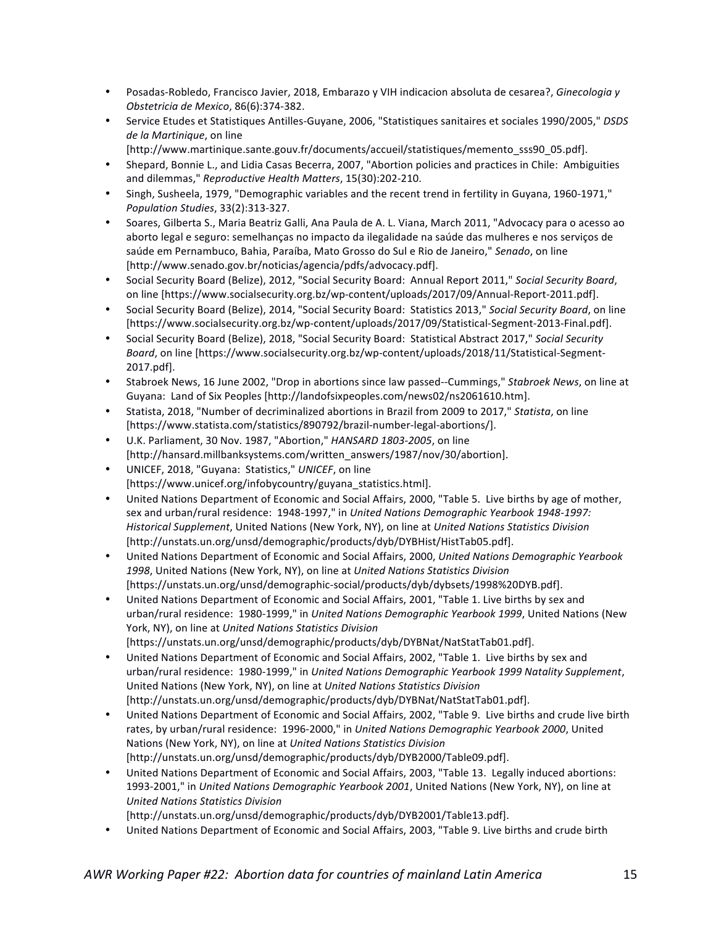- Posadas-Robledo, Francisco Javier, 2018, Embarazo y VIH indicacion absoluta de cesarea?, *Ginecologia y Obstetricia de Mexico*, 86(6):374-382.
- Service Etudes et Statistiques Antilles-Guyane, 2006, "Statistiques sanitaires et sociales 1990/2005," DSDS de la Martinique, on line
	- [http://www.martinique.sante.gouv.fr/documents/accueil/statistiques/memento\_sss90\_05.pdf].
- Shepard, Bonnie L., and Lidia Casas Becerra, 2007, "Abortion policies and practices in Chile: Ambiguities and dilemmas," *Reproductive Health Matters*, 15(30):202-210.
- Singh, Susheela, 1979, "Demographic variables and the recent trend in fertility in Guyana, 1960-1971," *Population Studies*, 33(2):313-327.
- Soares, Gilberta S., Maria Beatriz Galli, Ana Paula de A. L. Viana, March 2011, "Advocacy para o acesso ao aborto legal e seguro: semelhanças no impacto da ilegalidade na saúde das mulheres e nos serviços de saúde em Pernambuco, Bahia, Paraíba, Mato Grosso do Sul e Rio de Janeiro," Senado, on line [http://www.senado.gov.br/noticias/agencia/pdfs/advocacy.pdf].
- Social Security Board (Belize), 2012, "Social Security Board: Annual Report 2011," Social Security Board, on line [https://www.socialsecurity.org.bz/wp-content/uploads/2017/09/Annual-Report-2011.pdf].
- Social Security Board (Belize), 2014, "Social Security Board: Statistics 2013," Social Security Board, on line [https://www.socialsecurity.org.bz/wp-content/uploads/2017/09/Statistical-Segment-2013-Final.pdf].
- Social Security Board (Belize), 2018, "Social Security Board: Statistical Abstract 2017," Social Security Board, on line [https://www.socialsecurity.org.bz/wp-content/uploads/2018/11/Statistical-Segment-2017.pdf].
- Stabroek News, 16 June 2002, "Drop in abortions since law passed--Cummings," Stabroek News, on line at Guyana: Land of Six Peoples [http://landofsixpeoples.com/news02/ns2061610.htm].
- Statista, 2018, "Number of decriminalized abortions in Brazil from 2009 to 2017," Statista, on line [https://www.statista.com/statistics/890792/brazil-number-legal-abortions/].
- U.K. Parliament, 30 Nov. 1987, "Abortion," HANSARD 1803-2005, on line [http://hansard.millbanksystems.com/written\_answers/1987/nov/30/abortion].
- UNICEF, 2018, "Guyana: Statistics," UNICEF, on line [https://www.unicef.org/infobycountry/guyana\_statistics.html].
- United Nations Department of Economic and Social Affairs, 2000, "Table 5. Live births by age of mother, sex and urban/rural residence: 1948-1997," in *United Nations Demographic Yearbook 1948-1997: Historical Supplement*, United Nations (New York, NY), on line at *United Nations Statistics Division* [http://unstats.un.org/unsd/demographic/products/dyb/DYBHist/HistTab05.pdf].
- United Nations Department of Economic and Social Affairs, 2000, United Nations Demographic Yearbook 1998, United Nations (New York, NY), on line at *United Nations Statistics Division* [https://unstats.un.org/unsd/demographic-social/products/dyb/dybsets/1998%20DYB.pdf].
- United Nations Department of Economic and Social Affairs, 2001, "Table 1. Live births by sex and urban/rural residence: 1980-1999," in *United Nations Demographic Yearbook 1999*, United Nations (New York, NY), on line at *United Nations Statistics Division* [https://unstats.un.org/unsd/demographic/products/dyb/DYBNat/NatStatTab01.pdf].
- United Nations Department of Economic and Social Affairs, 2002, "Table 1. Live births by sex and urban/rural residence: 1980-1999," in United Nations Demographic Yearbook 1999 Natality Supplement, United Nations (New York, NY), on line at *United Nations Statistics Division* [http://unstats.un.org/unsd/demographic/products/dyb/DYBNat/NatStatTab01.pdf].
- United Nations Department of Economic and Social Affairs, 2002, "Table 9. Live births and crude live birth rates, by urban/rural residence: 1996-2000," in *United Nations Demographic Yearbook 2000*, United Nations (New York, NY), on line at *United Nations Statistics Division* [http://unstats.un.org/unsd/demographic/products/dyb/DYB2000/Table09.pdf].
- United Nations Department of Economic and Social Affairs, 2003, "Table 13. Legally induced abortions: 1993-2001," in *United Nations Demographic Yearbook 2001*, United Nations (New York, NY), on line at *United Nations Statistics Division*
	- [http://unstats.un.org/unsd/demographic/products/dyb/DYB2001/Table13.pdf].
- United Nations Department of Economic and Social Affairs, 2003, "Table 9. Live births and crude birth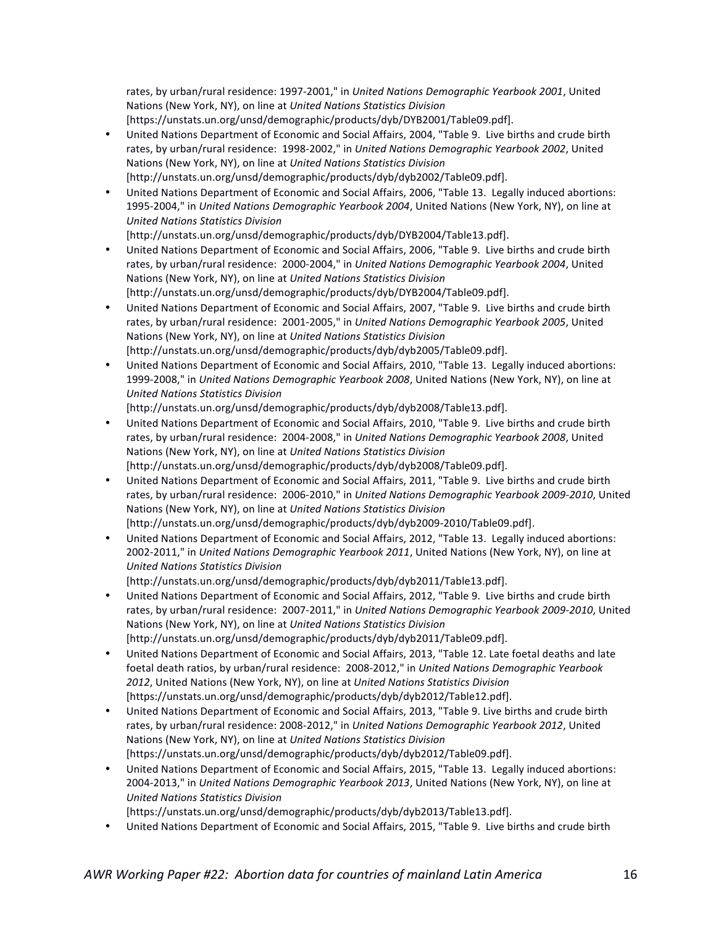rates, by urban/rural residence: 1997-2001," in *United Nations Demographic Yearbook 2001*, United Nations (New York, NY), on line at *United Nations Statistics Division* [https://unstats.un.org/unsd/demographic/products/dyb/DYB2001/Table09.pdf].

- United Nations Department of Economic and Social Affairs, 2004, "Table 9. Live births and crude birth rates, by urban/rural residence: 1998-2002," in *United Nations Demographic Yearbook 2002*, United Nations (New York, NY), on line at *United Nations Statistics Division* [http://unstats.un.org/unsd/demographic/products/dyb/dyb2002/Table09.pdf].
- United Nations Department of Economic and Social Affairs, 2006, "Table 13. Legally induced abortions: 1995-2004," in *United Nations Demographic Yearbook 2004*, United Nations (New York, NY), on line at *United Nations Statistics Division*

[http://unstats.un.org/unsd/demographic/products/dyb/DYB2004/Table13.pdf].

- United Nations Department of Economic and Social Affairs, 2006, "Table 9. Live births and crude birth rates, by urban/rural residence: 2000-2004," in *United Nations Demographic Yearbook 2004*, United Nations (New York, NY), on line at *United Nations Statistics Division* [http://unstats.un.org/unsd/demographic/products/dyb/DYB2004/Table09.pdf].
- United Nations Department of Economic and Social Affairs, 2007, "Table 9. Live births and crude birth rates, by urban/rural residence: 2001-2005," in *United Nations Demographic Yearbook 2005*, United Nations (New York, NY), on line at *United Nations Statistics Division* [http://unstats.un.org/unsd/demographic/products/dyb/dyb2005/Table09.pdf].
- United Nations Department of Economic and Social Affairs, 2010, "Table 13. Legally induced abortions: 1999-2008," in *United Nations Demographic Yearbook 2008*, United Nations (New York, NY), on line at *United Nations Statistics Division*

[http://unstats.un.org/unsd/demographic/products/dyb/dyb2008/Table13.pdf].

- United Nations Department of Economic and Social Affairs, 2010, "Table 9. Live births and crude birth rates, by urban/rural residence: 2004-2008," in *United Nations Demographic Yearbook 2008*, United Nations (New York, NY), on line at *United Nations Statistics Division* [http://unstats.un.org/unsd/demographic/products/dyb/dyb2008/Table09.pdf].
- United Nations Department of Economic and Social Affairs, 2011, "Table 9. Live births and crude birth rates, by urban/rural residence: 2006-2010," in *United Nations Demographic Yearbook 2009-2010*, United Nations (New York, NY), on line at *United Nations Statistics Division* [http://unstats.un.org/unsd/demographic/products/dyb/dyb2009-2010/Table09.pdf].
- United Nations Department of Economic and Social Affairs, 2012, "Table 13. Legally induced abortions: 2002-2011," in *United Nations Demographic Yearbook 2011*, United Nations (New York, NY), on line at *United Nations Statistics Division*

[http://unstats.un.org/unsd/demographic/products/dyb/dyb2011/Table13.pdf].

- United Nations Department of Economic and Social Affairs, 2012, "Table 9. Live births and crude birth rates, by urban/rural residence: 2007-2011," in *United Nations Demographic Yearbook 2009-2010*, United Nations (New York, NY), on line at *United Nations Statistics Division* [http://unstats.un.org/unsd/demographic/products/dyb/dyb2011/Table09.pdf].
- United Nations Department of Economic and Social Affairs, 2013, "Table 12. Late foetal deaths and late foetal death ratios, by urban/rural residence: 2008-2012," in *United Nations Demographic Yearbook* 2012, United Nations (New York, NY), on line at *United Nations Statistics Division* [https://unstats.un.org/unsd/demographic/products/dyb/dyb2012/Table12.pdf].
- United Nations Department of Economic and Social Affairs, 2013, "Table 9. Live births and crude birth rates, by urban/rural residence: 2008-2012," in *United Nations Demographic Yearbook 2012*, United Nations (New York, NY), on line at *United Nations Statistics Division* [https://unstats.un.org/unsd/demographic/products/dyb/dyb2012/Table09.pdf].
- United Nations Department of Economic and Social Affairs, 2015, "Table 13. Legally induced abortions: 2004-2013," in *United Nations Demographic Yearbook 2013*, United Nations (New York, NY), on line at *United Nations Statistics Division*
- [https://unstats.un.org/unsd/demographic/products/dyb/dyb2013/Table13.pdf].
- United Nations Department of Economic and Social Affairs, 2015, "Table 9. Live births and crude birth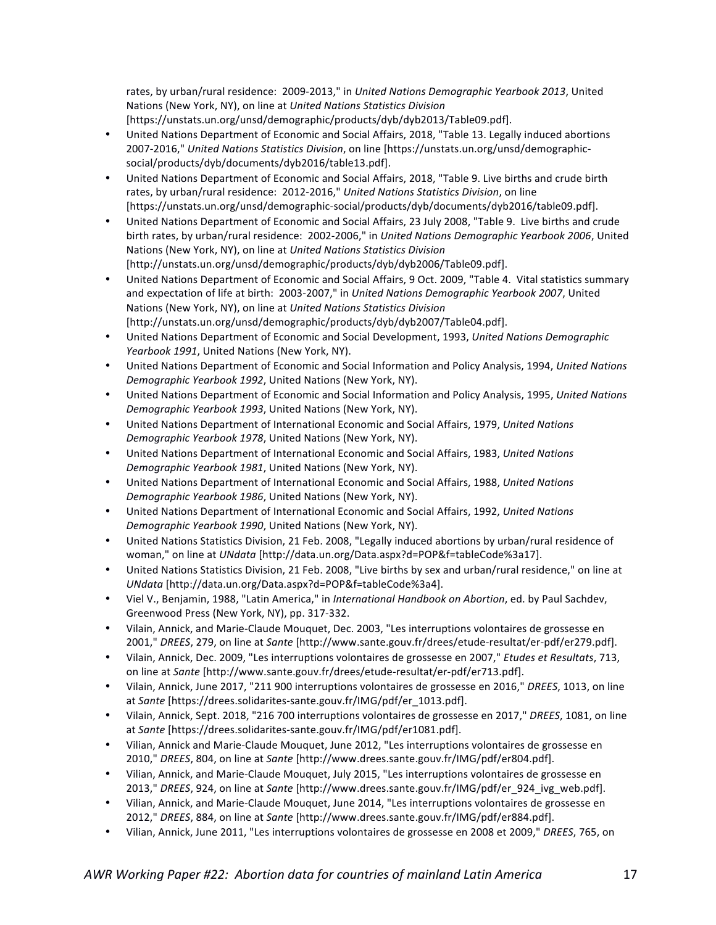rates, by urban/rural residence: 2009-2013," in *United Nations Demographic Yearbook 2013*, United Nations (New York, NY), on line at *United Nations Statistics Division* [https://unstats.un.org/unsd/demographic/products/dyb/dyb2013/Table09.pdf].

- United Nations Department of Economic and Social Affairs, 2018, "Table 13. Legally induced abortions 2007-2016," United Nations Statistics Division, on line [https://unstats.un.org/unsd/demographicsocial/products/dyb/documents/dyb2016/table13.pdf].
- United Nations Department of Economic and Social Affairs, 2018, "Table 9. Live births and crude birth rates, by urban/rural residence: 2012-2016," United Nations Statistics Division, on line [https://unstats.un.org/unsd/demographic-social/products/dyb/documents/dyb2016/table09.pdf].
- United Nations Department of Economic and Social Affairs, 23 July 2008, "Table 9. Live births and crude birth rates, by urban/rural residence: 2002-2006," in *United Nations Demographic Yearbook 2006*, United Nations (New York, NY), on line at *United Nations Statistics Division* [http://unstats.un.org/unsd/demographic/products/dyb/dyb2006/Table09.pdf].
- United Nations Department of Economic and Social Affairs, 9 Oct. 2009, "Table 4. Vital statistics summary and expectation of life at birth: 2003-2007," in *United Nations Demographic Yearbook 2007*, United Nations (New York, NY), on line at *United Nations Statistics Division* [http://unstats.un.org/unsd/demographic/products/dyb/dyb2007/Table04.pdf].
- United Nations Department of Economic and Social Development, 1993, United Nations Demographic *Yearbook 1991*, United Nations (New York, NY).
- United Nations Department of Economic and Social Information and Policy Analysis, 1994, *United Nations Demographic Yearbook 1992*, United Nations (New York, NY).
- United Nations Department of Economic and Social Information and Policy Analysis, 1995, *United Nations Demographic Yearbook 1993*, United Nations (New York, NY).
- United Nations Department of International Economic and Social Affairs, 1979, *United Nations Demographic Yearbook 1978*, United Nations (New York, NY).
- United Nations Department of International Economic and Social Affairs, 1983, United Nations *Demographic Yearbook 1981*, United Nations (New York, NY).
- United Nations Department of International Economic and Social Affairs, 1988, *United Nations Demographic Yearbook 1986*, United Nations (New York, NY).
- United Nations Department of International Economic and Social Affairs, 1992, United Nations *Demographic Yearbook 1990*, United Nations (New York, NY).
- United Nations Statistics Division, 21 Feb. 2008, "Legally induced abortions by urban/rural residence of woman," on line at *UNdata* [http://data.un.org/Data.aspx?d=POP&f=tableCode%3a17].
- United Nations Statistics Division, 21 Feb. 2008, "Live births by sex and urban/rural residence," on line at *UNdata* [http://data.un.org/Data.aspx?d=POP&f=tableCode%3a4].
- Viel V., Benjamin, 1988, "Latin America," in *International Handbook on Abortion*, ed. by Paul Sachdev, Greenwood Press (New York, NY), pp. 317-332.
- Vilain, Annick, and Marie-Claude Mouquet, Dec. 2003, "Les interruptions volontaires de grossesse en 2001," *DREES*, 279, on line at Sante [http://www.sante.gouv.fr/drees/etude-resultat/er-pdf/er279.pdf].
- Vilain, Annick, Dec. 2009, "Les interruptions volontaires de grossesse en 2007," *Etudes et Resultats*, 713, on line at *Sante* [http://www.sante.gouv.fr/drees/etude-resultat/er-pdf/er713.pdf].
- Vilain, Annick, June 2017, "211 900 interruptions volontaires de grossesse en 2016," *DREES*, 1013, on line at Sante [https://drees.solidarites-sante.gouv.fr/IMG/pdf/er\_1013.pdf].
- Vilain, Annick, Sept. 2018, "216 700 interruptions volontaires de grossesse en 2017," *DREES*, 1081, on line at Sante [https://drees.solidarites-sante.gouv.fr/IMG/pdf/er1081.pdf].
- Vilian, Annick and Marie-Claude Mouquet, June 2012, "Les interruptions volontaires de grossesse en 2010," *DREES*, 804, on line at *Sante* [http://www.drees.sante.gouv.fr/IMG/pdf/er804.pdf].
- Vilian, Annick, and Marie-Claude Mouquet, July 2015, "Les interruptions volontaires de grossesse en 2013," *DREES*, 924, on line at *Sante* [http://www.drees.sante.gouv.fr/IMG/pdf/er\_924\_ivg\_web.pdf].
- Vilian, Annick, and Marie-Claude Mouquet, June 2014, "Les interruptions volontaires de grossesse en 2012," *DREES*, 884, on line at *Sante* [http://www.drees.sante.gouv.fr/IMG/pdf/er884.pdf].
- Vilian, Annick, June 2011, "Les interruptions volontaires de grossesse en 2008 et 2009," *DREES*, 765, on